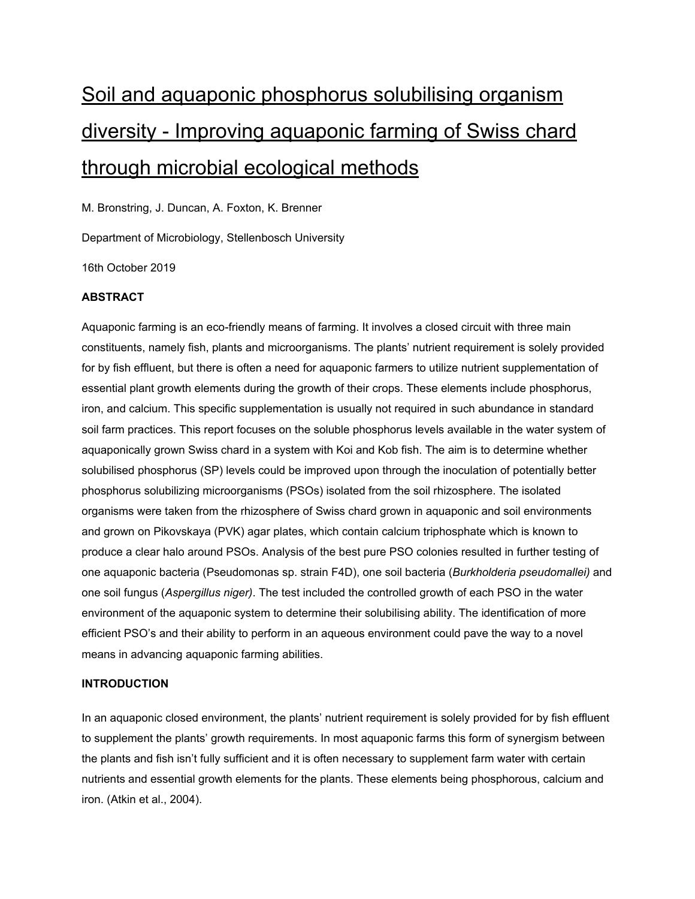# Soil and aquaponic phosphorus solubilising organism diversity - Improving aquaponic farming of Swiss chard through microbial ecological methods

M. Bronstring, J. Duncan, A. Foxton, K. Brenner

Department of Microbiology, Stellenbosch University

16th October 2019

## **ABSTRACT**

Aquaponic farming is an eco-friendly means of farming. It involves a closed circuit with three main constituents, namely fish, plants and microorganisms. The plants' nutrient requirement is solely provided for by fish effluent, but there is often a need for aquaponic farmers to utilize nutrient supplementation of essential plant growth elements during the growth of their crops. These elements include phosphorus, iron, and calcium. This specific supplementation is usually not required in such abundance in standard soil farm practices. This report focuses on the soluble phosphorus levels available in the water system of aquaponically grown Swiss chard in a system with Koi and Kob fish. The aim is to determine whether solubilised phosphorus (SP) levels could be improved upon through the inoculation of potentially better phosphorus solubilizing microorganisms (PSOs) isolated from the soil rhizosphere. The isolated organisms were taken from the rhizosphere of Swiss chard grown in aquaponic and soil environments and grown on Pikovskaya (PVK) agar plates, which contain calcium triphosphate which is known to produce a clear halo around PSOs. Analysis of the best pure PSO colonies resulted in further testing of one aquaponic bacteria (Pseudomonas sp. strain F4D), one soil bacteria (*Burkholderia pseudomallei)* and one soil fungus (*Aspergillus niger)*. The test included the controlled growth of each PSO in the water environment of the aquaponic system to determine their solubilising ability. The identification of more efficient PSO's and their ability to perform in an aqueous environment could pave the way to a novel means in advancing aquaponic farming abilities.

## **INTRODUCTION**

In an aquaponic closed environment, the plants' nutrient requirement is solely provided for by fish effluent to supplement the plants' growth requirements. In most aquaponic farms this form of synergism between the plants and fish isn't fully sufficient and it is often necessary to supplement farm water with certain nutrients and essential growth elements for the plants. These elements being phosphorous, calcium and iron. (Atkin et al., 2004).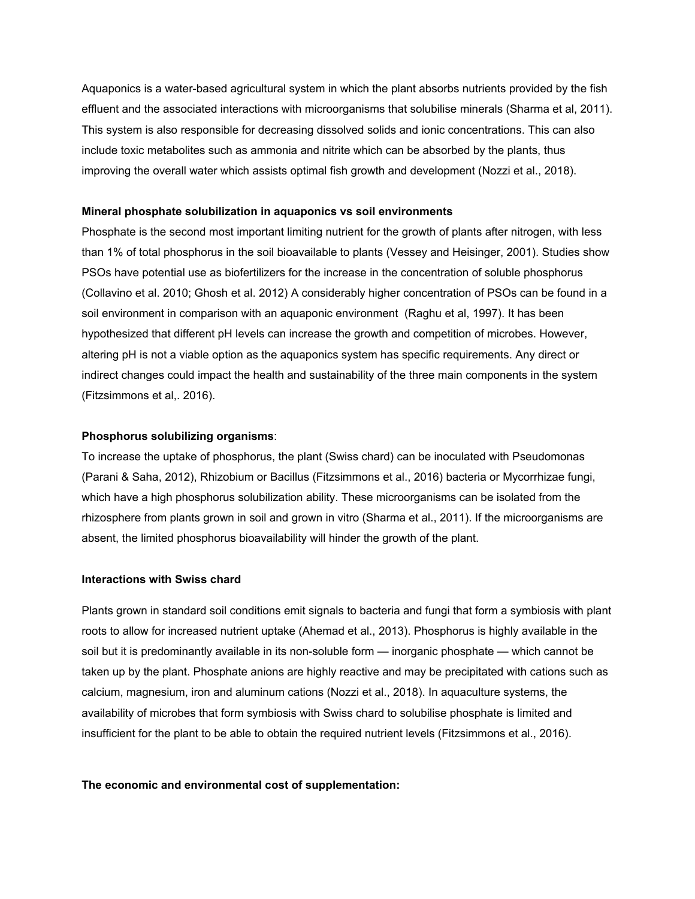Aquaponics is a water-based agricultural system in which the plant absorbs nutrients provided by the fish effluent and the associated interactions with microorganisms that solubilise minerals (Sharma et al, 2011). This system is also responsible for decreasing dissolved solids and ionic concentrations. This can also include toxic metabolites such as ammonia and nitrite which can be absorbed by the plants, thus improving the overall water which assists optimal fish growth and development (Nozzi et al., 2018).

#### **Mineral phosphate solubilization in aquaponics vs soil environments**

Phosphate is the second most important limiting nutrient for the growth of plants after nitrogen, with less than 1% of total phosphorus in the soil bioavailable to plants (Vessey and Heisinger, [2001\)](https://www.ncbi.nlm.nih.gov/pmc/articles/PMC5910442/#CR50). Studies show PSOs have potential use as biofertilizers for the increase in the concentration of soluble phosphorus (Collavino et al. [2010;](https://www.ncbi.nlm.nih.gov/pmc/articles/PMC5910442/#CR9) Ghosh et al. [2012](https://www.ncbi.nlm.nih.gov/pmc/articles/PMC5910442/#CR11)) A considerably higher concentration of PSOs can be found in a soil environment in comparison with an aquaponic environment (Raghu et al, 1997). It has been hypothesized that different pH levels can increase the growth and competition of microbes. However, altering pH is not a viable option as the aquaponics system has specific requirements. Any direct or indirect changes could impact the health and sustainability of the three main components in the system (Fitzsimmons et al,. 2016).

#### **Phosphorus solubilizing organisms**:

To increase the uptake of phosphorus, the plant (Swiss chard) can be inoculated with Pseudomonas (Parani & Saha, 2012), Rhizobium or Bacillus (Fitzsimmons et al., 2016) bacteria or Mycorrhizae fungi, which have a high phosphorus solubilization ability. These microorganisms can be isolated from the rhizosphere from plants grown in soil and grown in vitro (Sharma et al., 2011). If the microorganisms are absent, the limited phosphorus bioavailability will hinder the growth of the plant.

#### **Interactions with Swiss chard**

Plants grown in standard soil conditions emit signals to bacteria and fungi that form a symbiosis with plant roots to allow for increased nutrient uptake (Ahemad et al., 2013). Phosphorus is highly available in the soil but it is predominantly available in its non-soluble form — inorganic phosphate — which cannot be taken up by the plant. Phosphate anions are highly reactive and may be precipitated with cations such as calcium, magnesium, iron and aluminum cations (Nozzi et al., 2018). In aquaculture systems, the availability of microbes that form symbiosis with Swiss chard to solubilise phosphate is limited and insufficient for the plant to be able to obtain the required nutrient levels (Fitzsimmons et al., 2016).

#### **The economic and environmental cost of supplementation:**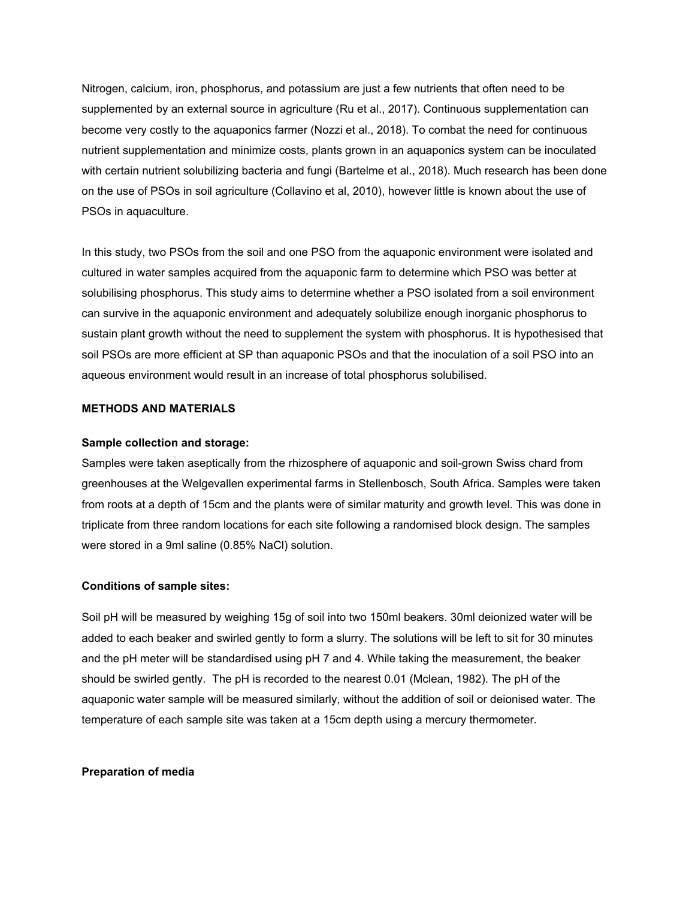Nitrogen, calcium, iron, phosphorus, and potassium are just a few nutrients that often need to be supplemented by an external source in agriculture (Ru et al., 2017). Continuous supplementation can become very costly to the aquaponics farmer (Nozzi et al., 2018). To combat the need for continuous nutrient supplementation and minimize costs, plants grown in an aquaponics system can be inoculated with certain nutrient solubilizing bacteria and fungi (Bartelme et al., 2018). Much research has been done on the use of PSOs in soil agriculture (Collavino et al, 2010), however little is known about the use of PSOs in aquaculture.

In this study, two PSOs from the soil and one PSO from the aquaponic environment were isolated and cultured in water samples acquired from the aquaponic farm to determine which PSO was better at solubilising phosphorus. This study aims to determine whether a PSO isolated from a soil environment can survive in the aquaponic environment and adequately solubilize enough inorganic phosphorus to sustain plant growth without the need to supplement the system with phosphorus. It is hypothesised that soil PSOs are more efficient at SP than aquaponic PSOs and that the inoculation of a soil PSO into an aqueous environment would result in an increase of total phosphorus solubilised.

## **METHODS AND MATERIALS**

#### **Sample collection and storage:**

Samples were taken aseptically from the rhizosphere of aquaponic and soil-grown Swiss chard from greenhouses at the Welgevallen experimental farms in Stellenbosch, South Africa. Samples were taken from roots at a depth of 15cm and the plants were of similar maturity and growth level. This was done in triplicate from three random locations for each site following a randomised block design. The samples were stored in a 9ml saline (0.85% NaCl) solution.

#### **Conditions of sample sites:**

Soil pH will be measured by weighing 15g of soil into two 150ml beakers. 30ml deionized water will be added to each beaker and swirled gently to form a slurry. The solutions will be left to sit for 30 minutes and the pH meter will be standardised using pH 7 and 4. While taking the measurement, the beaker should be swirled gently. The pH is recorded to the nearest 0.01 (Mclean, 1982). The pH of the aquaponic water sample will be measured similarly, without the addition of soil or deionised water. The temperature of each sample site was taken at a 15cm depth using a mercury thermometer.

#### **Preparation of media**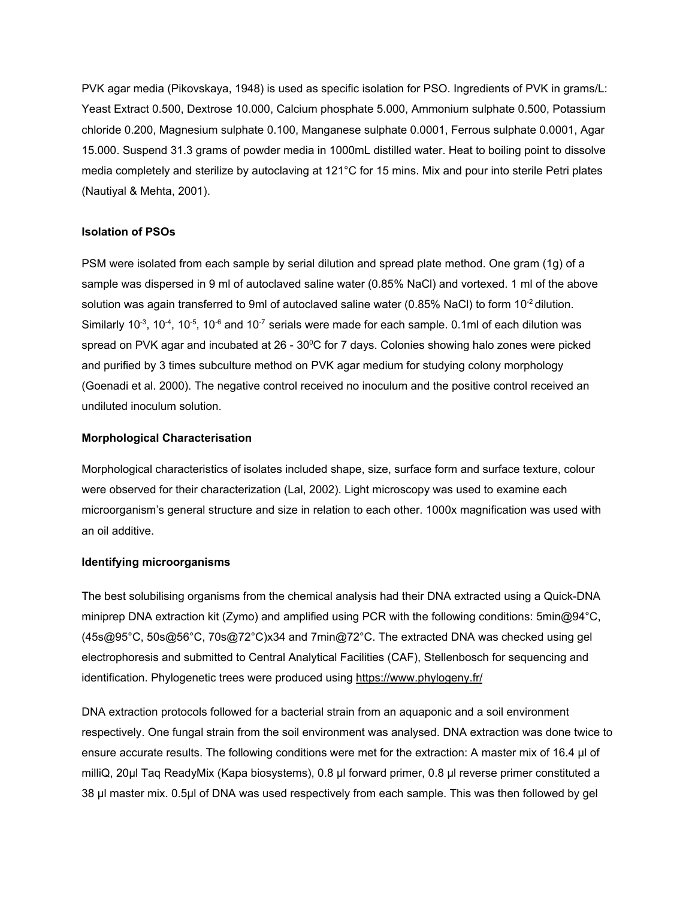PVK agar media (Pikovskaya, 1948) is used as specific isolation for PSO. Ingredients of PVK in grams/L: Yeast Extract 0.500, Dextrose 10.000, Calcium phosphate 5.000, Ammonium sulphate 0.500, Potassium chloride 0.200, Magnesium sulphate 0.100, Manganese sulphate 0.0001, Ferrous sulphate 0.0001, Agar 15.000. Suspend 31.3 grams of powder media in 1000mL distilled water. Heat to boiling point to dissolve media completely and sterilize by autoclaving at 121°C for 15 mins. Mix and pour into sterile Petri plates (Nautiyal & Mehta, 2001).

#### **Isolation of PSOs**

PSM were isolated from each sample by serial dilution and spread plate method. One gram (1g) of a sample was dispersed in 9 ml of autoclaved saline water (0.85% NaCl) and vortexed. 1 ml of the above solution was again transferred to 9ml of autoclaved saline water (0.85% NaCl) to form 10<sup>-2</sup> dilution. Similarly 10<sup>-3</sup>, 10<sup>-4</sup>, 10<sup>-5</sup>, 10<sup>-6</sup> and 10<sup>-7</sup> serials were made for each sample. 0.1ml of each dilution was spread on PVK agar and incubated at 26 - 30°C for 7 days. Colonies showing halo zones were picked and purified by 3 times subculture method on PVK agar medium for studying colony morphology (Goenadi et al. 2000). The negative control received no inoculum and the positive control received an undiluted inoculum solution.

#### **Morphological Characterisation**

Morphological characteristics of isolates included shape, size, surface form and surface texture, colour were observed for their characterization (Lal, 2002). Light microscopy was used to examine each microorganism's general structure and size in relation to each other. 1000x magnification was used with an oil additive.

#### **Identifying microorganisms**

The best solubilising organisms from the chemical analysis had their DNA extracted using a Quick-DNA miniprep DNA extraction kit (Zymo) and amplified using PCR with the following conditions: 5min@94°C, (45s@95°C, 50s@56°C, 70s@72°C)x34 and 7min@72°C. The extracted DNA was checked using gel electrophoresis and submitted to Central Analytical Facilities (CAF), Stellenbosch for sequencing and identification. Phylogenetic trees were produced using <https://www.phylogeny.fr/>

DNA extraction protocols followed for a bacterial strain from an aquaponic and a soil environment respectively. One fungal strain from the soil environment was analysed. DNA extraction was done twice to ensure accurate results. The following conditions were met for the extraction: A master mix of 16.4 μl of milliQ, 20μl Taq ReadyMix (Kapa biosystems), 0.8 μl forward primer, 0.8 μl reverse primer constituted a 38 μl master mix. 0.5μl of DNA was used respectively from each sample. This was then followed by gel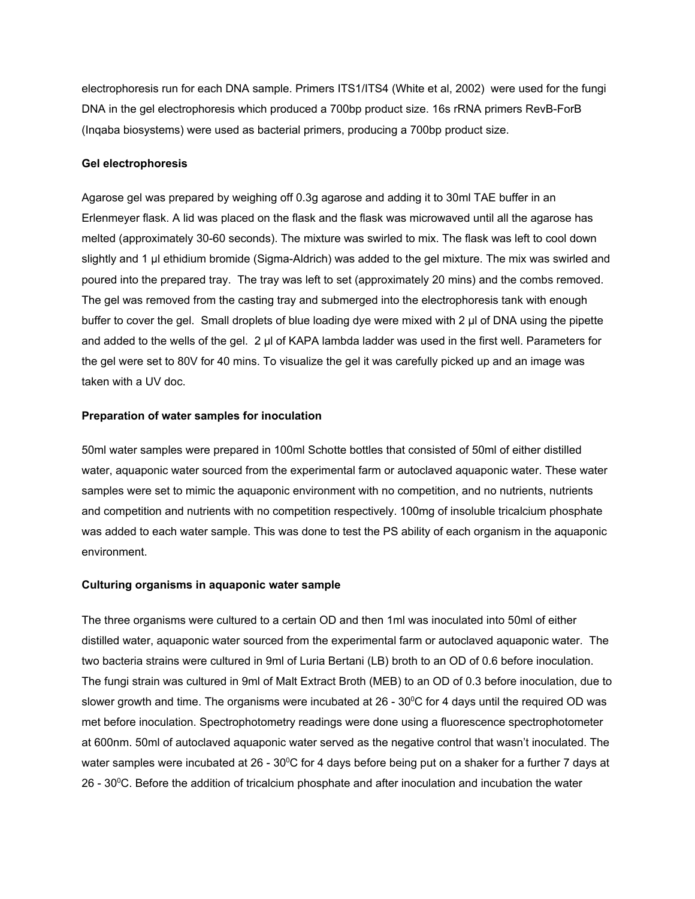electrophoresis run for each DNA sample. Primers ITS1/ITS4 (White et al, 2002) were used for the fungi DNA in the gel electrophoresis which produced a 700bp product size. 16s rRNA primers RevB-ForB (Inqaba biosystems) were used as bacterial primers, producing a 700bp product size.

#### **Gel electrophoresis**

Agarose gel was prepared by weighing off 0.3g agarose and adding it to 30ml TAE buffer in an Erlenmeyer flask. A lid was placed on the flask and the flask was microwaved until all the agarose has melted (approximately 30-60 seconds). The mixture was swirled to mix. The flask was left to cool down slightly and 1 μl ethidium bromide (Sigma-Aldrich) was added to the gel mixture. The mix was swirled and poured into the prepared tray. The tray was left to set (approximately 20 mins) and the combs removed. The gel was removed from the casting tray and submerged into the electrophoresis tank with enough buffer to cover the gel. Small droplets of blue loading dye were mixed with 2 μl of DNA using the pipette and added to the wells of the gel. 2 μl of KAPA lambda ladder was used in the first well. Parameters for the gel were set to 80V for 40 mins. To visualize the gel it was carefully picked up and an image was taken with a UV doc.

#### **Preparation of water samples for inoculation**

50ml water samples were prepared in 100ml Schotte bottles that consisted of 50ml of either distilled water, aquaponic water sourced from the experimental farm or autoclaved aquaponic water. These water samples were set to mimic the aquaponic environment with no competition, and no nutrients, nutrients and competition and nutrients with no competition respectively. 100mg of insoluble tricalcium phosphate was added to each water sample. This was done to test the PS ability of each organism in the aquaponic environment.

#### **Culturing organisms in aquaponic water sample**

The three organisms were cultured to a certain OD and then 1ml was inoculated into 50ml of either distilled water, aquaponic water sourced from the experimental farm or autoclaved aquaponic water. The two bacteria strains were cultured in 9ml of Luria Bertani (LB) broth to an OD of 0.6 before inoculation. The fungi strain was cultured in 9ml of Malt Extract Broth (MEB) to an OD of 0.3 before inoculation, due to slower growth and time. The organisms were incubated at 26 - 30°C for 4 days until the required OD was met before inoculation. Spectrophotometry readings were done using a fluorescence spectrophotometer at 600nm. 50ml of autoclaved aquaponic water served as the negative control that wasn't inoculated. The water samples were incubated at 26 - 30°C for 4 days before being put on a shaker for a further 7 days at 26 - 30 <sup>0</sup>C. Before the addition of tricalcium phosphate and after inoculation and incubation the water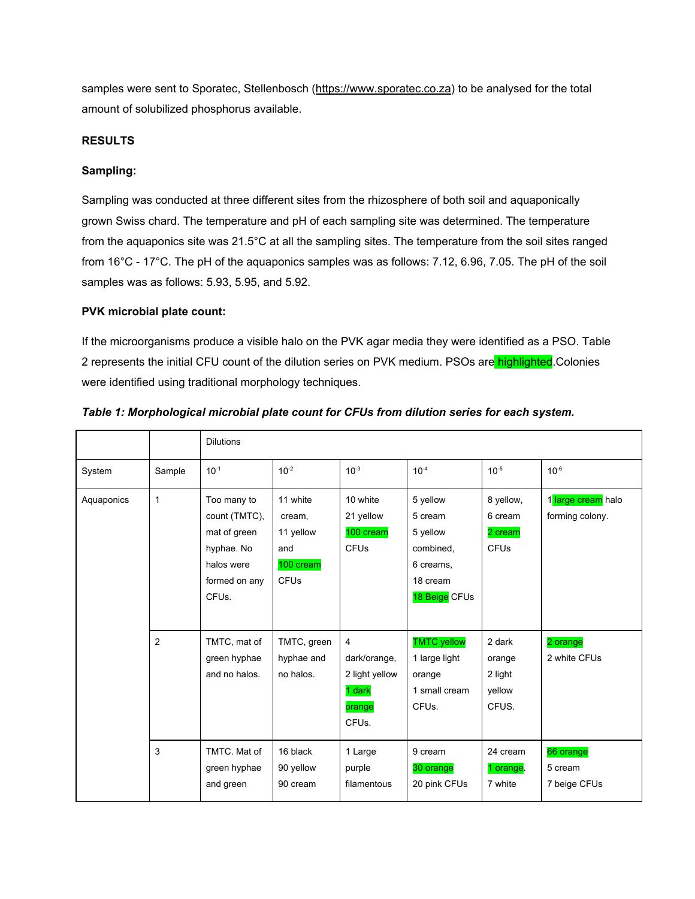samples were sent to Sporatec, Stellenbosch [\(https://www.sporatec.co.za\)](https://www.sporatec.co.za/) to be analysed for the total amount of solubilized phosphorus available.

## **RESULTS**

## **Sampling:**

Sampling was conducted at three different sites from the rhizosphere of both soil and aquaponically grown Swiss chard. The temperature and pH of each sampling site was determined. The temperature from the aquaponics site was 21.5°C at all the sampling sites. The temperature from the soil sites ranged from 16°C - 17°C. The pH of the aquaponics samples was as follows: 7.12, 6.96, 7.05. The pH of the soil samples was as follows: 5.93, 5.95, and 5.92.

## **PVK microbial plate count:**

If the microorganisms produce a visible halo on the PVK agar media they were identified as a PSO. Table 2 represents the initial CFU count of the dilution series on PVK medium. PSOs are highlighted. Colonies were identified using traditional morphology techniques.

|            |              | <b>Dilutions</b>                                                                                                |                                                             |                                                                             |                                                                                                 |                                                            |                                       |
|------------|--------------|-----------------------------------------------------------------------------------------------------------------|-------------------------------------------------------------|-----------------------------------------------------------------------------|-------------------------------------------------------------------------------------------------|------------------------------------------------------------|---------------------------------------|
| System     | Sample       | $10^{-1}$                                                                                                       | $10^{-2}$                                                   | $10^{-3}$                                                                   | $10^{-4}$                                                                                       | $10^{-5}$                                                  | $10^{-6}$                             |
| Aquaponics | $\mathbf{1}$ | Too many to<br>count (TMTC),<br>mat of green<br>hyphae. No<br>halos were<br>formed on any<br>CFU <sub>s</sub> . | 11 white<br>cream,<br>11 yellow<br>and<br>100 cream<br>CFUs | 10 white<br>21 yellow<br>100 cream<br><b>CFU<sub>s</sub></b>                | 5 yellow<br>5 cream<br>5 yellow<br>combined,<br>6 creams,<br>18 cream<br>18 Beige CFUs          | 8 yellow,<br>6 cream<br>2 cream<br><b>CFU<sub>s</sub></b>  | 1 large cream halo<br>forming colony. |
|            | 2<br>3       | TMTC, mat of<br>green hyphae<br>and no halos.<br>TMTC. Mat of                                                   | TMTC, green<br>hyphae and<br>no halos.<br>16 black          | 4<br>dark/orange,<br>2 light yellow<br>1 dark<br>orange<br>CFUs.<br>1 Large | <b>TMTC</b> yellow<br>1 large light<br>orange<br>1 small cream<br>CFU <sub>s</sub> .<br>9 cream | 2 dark<br>orange<br>2 light<br>yellow<br>CFUS.<br>24 cream | 2 orange<br>2 white CFUs<br>66 orange |
|            |              | green hyphae<br>and green                                                                                       | 90 yellow<br>90 cream                                       | purple<br>filamentous                                                       | 30 orange<br>20 pink CFUs                                                                       | 1 orange.<br>7 white                                       | 5 cream<br>7 beige CFUs               |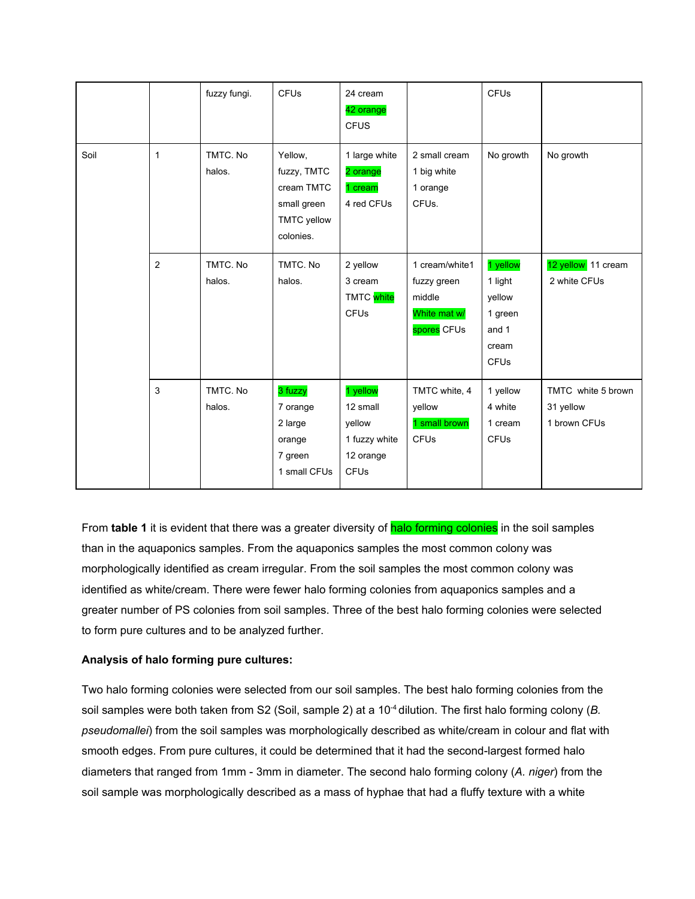|      |              | fuzzy fungi.       | <b>CFUs</b>                                                                            | 24 cream<br>42 orange<br><b>CFUS</b>                                        |                                                                        | <b>CFUs</b>                                                               |                                                 |
|------|--------------|--------------------|----------------------------------------------------------------------------------------|-----------------------------------------------------------------------------|------------------------------------------------------------------------|---------------------------------------------------------------------------|-------------------------------------------------|
| Soil | $\mathbf{1}$ | TMTC. No<br>halos. | Yellow,<br>fuzzy, TMTC<br>cream TMTC<br>small green<br><b>TMTC</b> yellow<br>colonies. | 1 large white<br>2 orange<br>1 cream<br>4 red CFUs                          | 2 small cream<br>1 big white<br>1 orange<br>CFUs.                      | No growth                                                                 | No growth                                       |
|      | 2            | TMTC. No<br>halos. | TMTC. No<br>halos.                                                                     | 2 yellow<br>3 cream<br>TMTC white<br><b>CFUs</b>                            | 1 cream/white1<br>fuzzy green<br>middle<br>White mat w/<br>spores CFUs | 1 yellow<br>1 light<br>yellow<br>1 green<br>and 1<br>cream<br><b>CFUs</b> | 12 yellow 11 cream<br>2 white CFUs              |
|      | 3            | TMTC. No<br>halos. | 3 fuzzy<br>7 orange<br>2 large<br>orange<br>7 green<br>1 small CFUs                    | 1 yellow<br>12 small<br>yellow<br>1 fuzzy white<br>12 orange<br><b>CFUs</b> | TMTC white, 4<br>yellow<br>1 small brown<br><b>CFUs</b>                | 1 yellow<br>4 white<br>1 cream<br><b>CFUs</b>                             | TMTC white 5 brown<br>31 yellow<br>1 brown CFUs |

From **table 1** it is evident that there was a greater diversity of halo forming colonies in the soil samples than in the aquaponics samples. From the aquaponics samples the most common colony was morphologically identified as cream irregular. From the soil samples the most common colony was identified as white/cream. There were fewer halo forming colonies from aquaponics samples and a greater number of PS colonies from soil samples. Three of the best halo forming colonies were selected to form pure cultures and to be analyzed further.

## **Analysis of halo forming pure cultures:**

Two halo forming colonies were selected from our soil samples. The best halo forming colonies from the soil samples were both taken from S2 (Soil, sample 2) at a 10<sup>-4</sup> dilution. The first halo forming colony (*B. pseudomallei*) from the soil samples was morphologically described as white/cream in colour and flat with smooth edges. From pure cultures, it could be determined that it had the second-largest formed halo diameters that ranged from 1mm - 3mm in diameter. The second halo forming colony (*A. niger*) from the soil sample was morphologically described as a mass of hyphae that had a fluffy texture with a white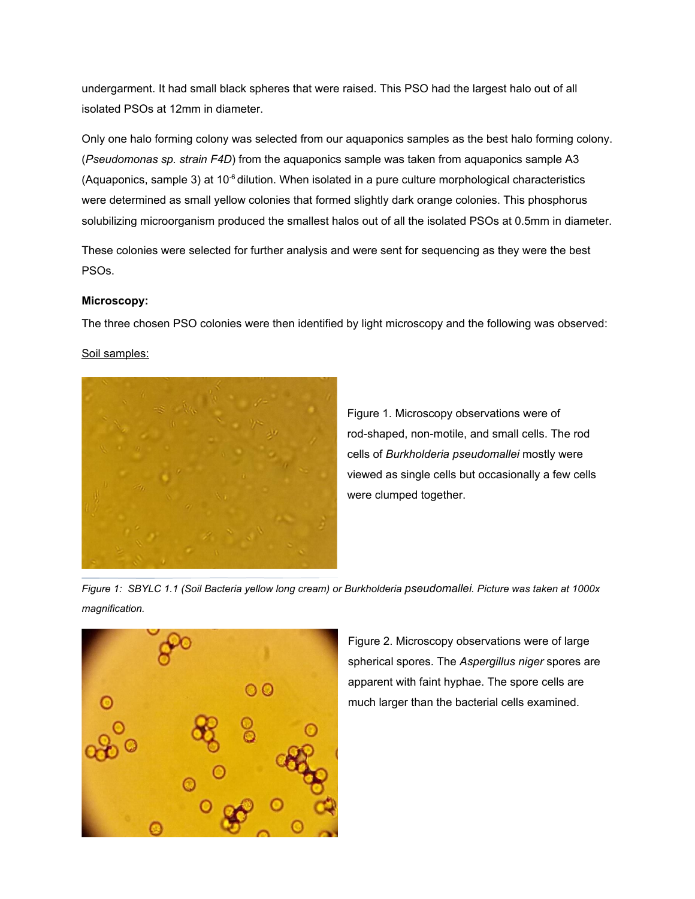undergarment. It had small black spheres that were raised. This PSO had the largest halo out of all isolated PSOs at 12mm in diameter.

Only one halo forming colony was selected from our aquaponics samples as the best halo forming colony. (*Pseudomonas sp. strain F4D*) from the aquaponics sample was taken from aquaponics sample A3 (Aquaponics, sample 3) at  $10<sup>-6</sup>$  dilution. When isolated in a pure culture morphological characteristics were determined as small yellow colonies that formed slightly dark orange colonies. This phosphorus solubilizing microorganism produced the smallest halos out of all the isolated PSOs at 0.5mm in diameter.

These colonies were selected for further analysis and were sent for sequencing as they were the best PSOs.

#### **Microscopy:**

The three chosen PSO colonies were then identified by light microscopy and the following was observed:

Soil samples:



Figure 1. Microscopy observations were of rod-shaped, non-motile, and small cells. The rod cells of *Burkholderia pseudomallei* mostly were viewed as single cells but occasionally a few cells were clumped together.

*Figure 1: SBYLC 1.1 (Soil Bacteria yellow long cream) or Burkholderia pseudomallei. Picture was taken at 1000x magnification.*



Figure 2. Microscopy observations were of large spherical spores. The *Aspergillus niger* spores are apparent with faint hyphae. The spore cells are much larger than the bacterial cells examined.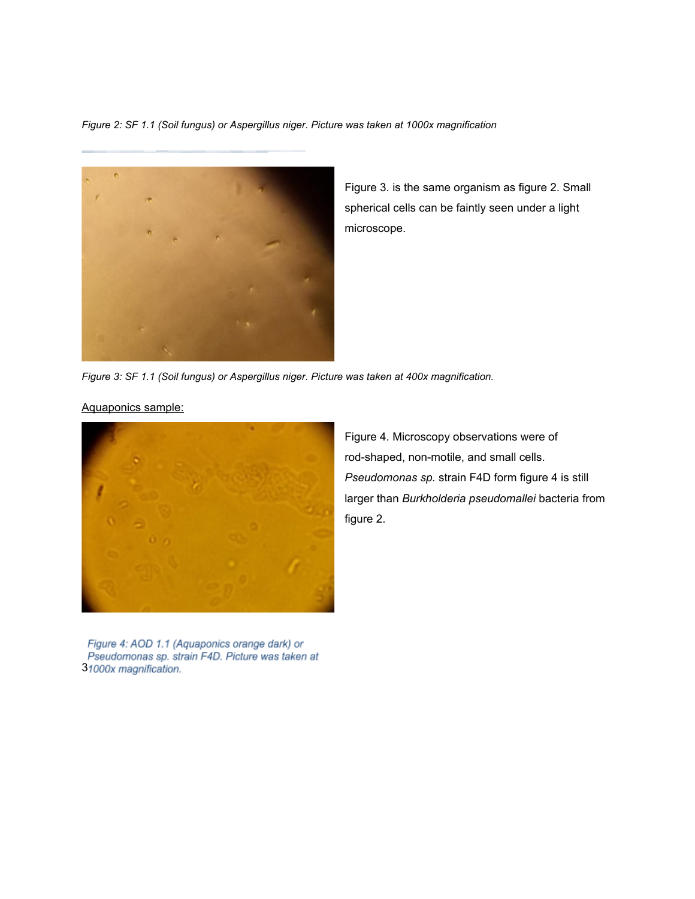*Figure 2: SF 1.1 (Soil fungus) or Aspergillus niger. Picture was taken at 1000x magnification*



Figure 3. is the same organism as figure 2. Small spherical cells can be faintly seen under a light microscope.

*Figure 3: SF 1.1 (Soil fungus) or Aspergillus niger. Picture was taken at 400x magnification.*

Aquaponics sample:



Figure 4: AOD 1.1 (Aquaponics orange dark) or Pseudomonas sp. strain F4D. Picture was taken at 31000x magnification.

Figure 4. Microscopy observations were of rod-shaped, non-motile, and small cells. *Pseudomonas sp.* strain F4D form figure 4 is still larger than *Burkholderia pseudomallei* bacteria from figure 2.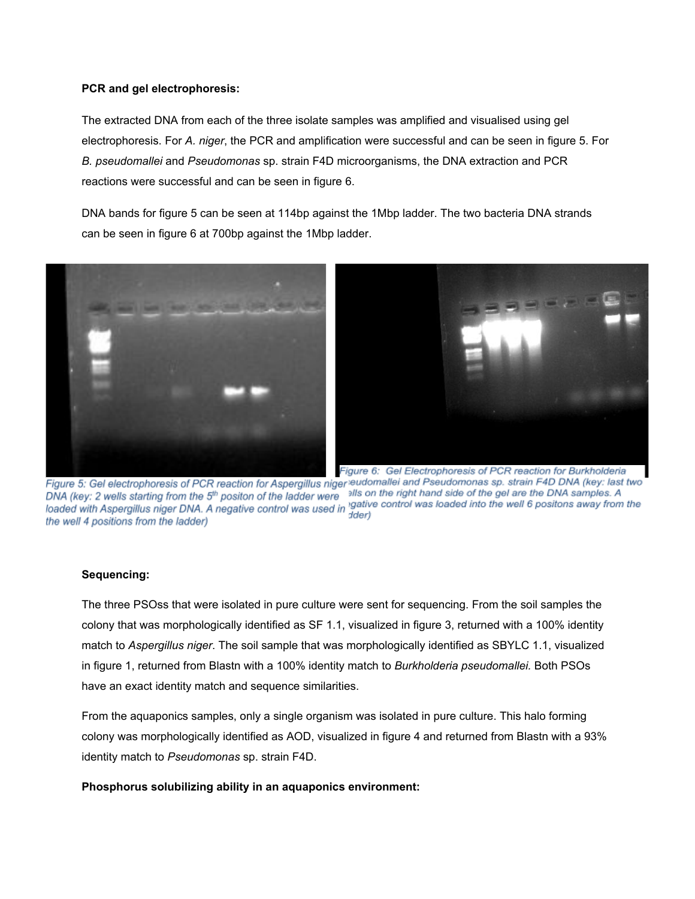#### **PCR and gel electrophoresis:**

The extracted DNA from each of the three isolate samples was amplified and visualised using gel electrophoresis. For *A. niger*, the PCR and amplification were successful and can be seen in figure 5. For *B. pseudomallei* and *Pseudomonas* sp. strain F4D microorganisms, the DNA extraction and PCR reactions were successful and can be seen in figure 6.

DNA bands for figure 5 can be seen at 114bp against the 1Mbp ladder. The two bacteria DNA strands can be seen in figure 6 at 700bp against the 1Mbp ladder.





Figure 6: Gel Electrophoresis of PCR reaction for Burkholderia Figure 5: Gel electrophoresis of PCR reaction for Aspergillus niger eudomallei and Pseudomonas sp. strain F4D DNA (key: last two DNA (key: 2 wells starting from the 5<sup>th</sup> positon of the ladder were alls on the right hand side of the gel are the DNA samples. A DNA (key: 2 wells starting from the 5<sup>th</sup> positon of the ladder were sites on the nght hand side of the get are the DNA samples. A<br>loaded with Aspergillus niger DNA. A negative control was used in 'gative control was loade dder) the well 4 positions from the ladder)

#### **Sequencing:**

The three PSOss that were isolated in pure culture were sent for sequencing. From the soil samples the colony that was morphologically identified as SF 1.1, visualized in figure 3, returned with a 100% identity match to *Aspergillus niger*. The soil sample that was morphologically identified as SBYLC 1.1, visualized in figure 1, returned from Blastn with a 100% identity match to *Burkholderia pseudomallei.* Both PSOs have an exact identity match and sequence similarities.

From the aquaponics samples, only a single organism was isolated in pure culture. This halo forming colony was morphologically identified as AOD, visualized in figure 4 and returned from Blastn with a 93% identity match to *Pseudomonas* sp. strain F4D.

**Phosphorus solubilizing ability in an aquaponics environment:**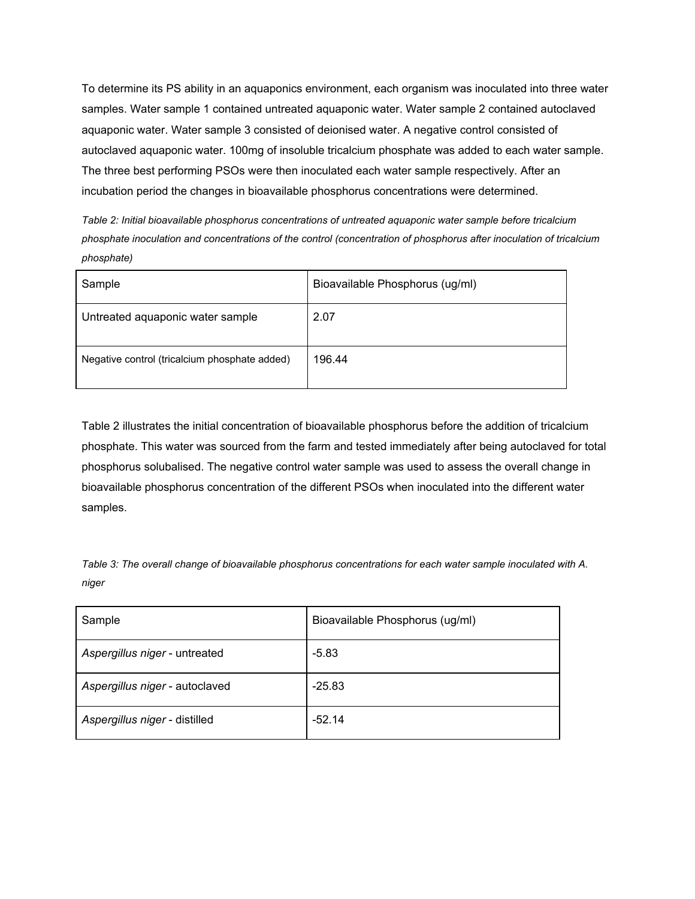To determine its PS ability in an aquaponics environment, each organism was inoculated into three water samples. Water sample 1 contained untreated aquaponic water. Water sample 2 contained autoclaved aquaponic water. Water sample 3 consisted of deionised water. A negative control consisted of autoclaved aquaponic water. 100mg of insoluble tricalcium phosphate was added to each water sample. The three best performing PSOs were then inoculated each water sample respectively. After an incubation period the changes in bioavailable phosphorus concentrations were determined.

*Table 2: Initial bioavailable phosphorus concentrations of untreated aquaponic water sample before tricalcium phosphate inoculation and concentrations of the control (concentration of phosphorus after inoculation of tricalcium phosphate)*

| Sample                                        | Bioavailable Phosphorus (ug/ml) |
|-----------------------------------------------|---------------------------------|
| Untreated aquaponic water sample              | 2.07                            |
| Negative control (tricalcium phosphate added) | 196.44                          |

Table 2 illustrates the initial concentration of bioavailable phosphorus before the addition of tricalcium phosphate. This water was sourced from the farm and tested immediately after being autoclaved for total phosphorus solubalised. The negative control water sample was used to assess the overall change in bioavailable phosphorus concentration of the different PSOs when inoculated into the different water samples.

*Table 3: The overall change of bioavailable phosphorus concentrations for each water sample inoculated with A. niger*

| Sample                         | Bioavailable Phosphorus (ug/ml) |
|--------------------------------|---------------------------------|
| Aspergillus niger - untreated  | $-5.83$                         |
| Aspergillus niger - autoclaved | $-25.83$                        |
| Aspergillus niger - distilled  | $-52.14$                        |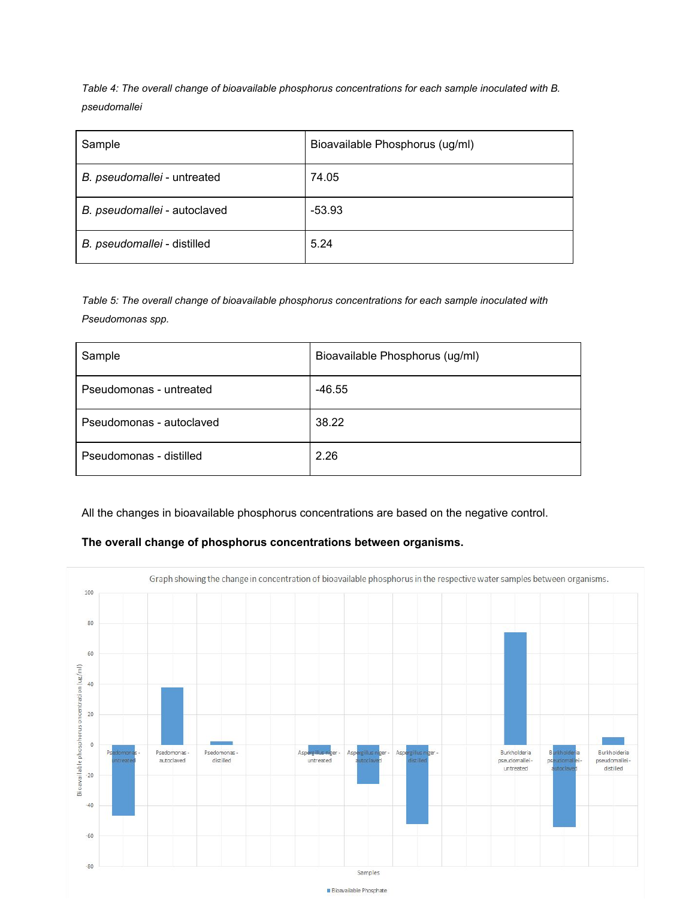*Table 4: The overall change of bioavailable phosphorus concentrations for each sample inoculated with B. pseudomallei*

| Sample                       | Bioavailable Phosphorus (ug/ml) |
|------------------------------|---------------------------------|
| B. pseudomallei - untreated  | 74.05                           |
| B. pseudomallei - autoclaved | $-53.93$                        |
| B. pseudomallei - distilled  | 5.24                            |

*Table 5: The overall change of bioavailable phosphorus concentrations for each sample inoculated with Pseudomonas spp.*

| Sample                   | Bioavailable Phosphorus (ug/ml) |
|--------------------------|---------------------------------|
| Pseudomonas - untreated  | $-46.55$                        |
| Pseudomonas - autoclaved | 38.22                           |
| Pseudomonas - distilled  | 2.26                            |

All the changes in bioavailable phosphorus concentrations are based on the negative control.

## **The overall change of phosphorus concentrations between organisms.**

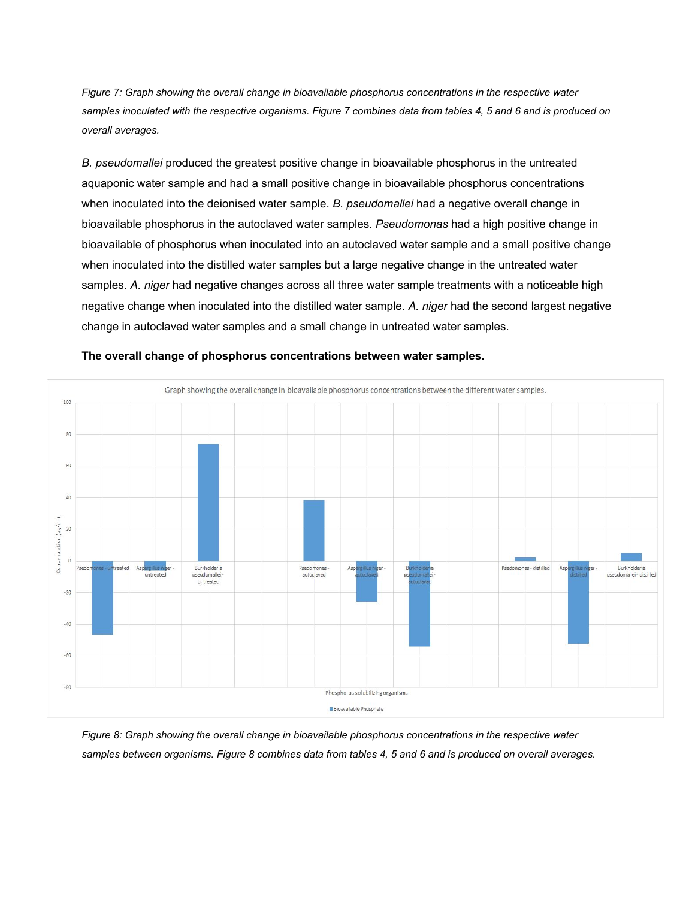*Figure 7: Graph showing the overall change in bioavailable phosphorus concentrations in the respective water samples inoculated with the respective organisms. Figure 7 combines data from tables 4, 5 and 6 and is produced on overall averages.*

*B. pseudomallei* produced the greatest positive change in bioavailable phosphorus in the untreated aquaponic water sample and had a small positive change in bioavailable phosphorus concentrations when inoculated into the deionised water sample. *B. pseudomallei* had a negative overall change in bioavailable phosphorus in the autoclaved water samples. *Pseudomonas* had a high positive change in bioavailable of phosphorus when inoculated into an autoclaved water sample and a small positive change when inoculated into the distilled water samples but a large negative change in the untreated water samples. *A. niger* had negative changes across all three water sample treatments with a noticeable high negative change when inoculated into the distilled water sample. *A. niger* had the second largest negative change in autoclaved water samples and a small change in untreated water samples.



**The overall change of phosphorus concentrations between water samples.**

*Figure 8: Graph showing the overall change in bioavailable phosphorus concentrations in the respective water samples between organisms. Figure 8 combines data from tables 4, 5 and 6 and is produced on overall averages.*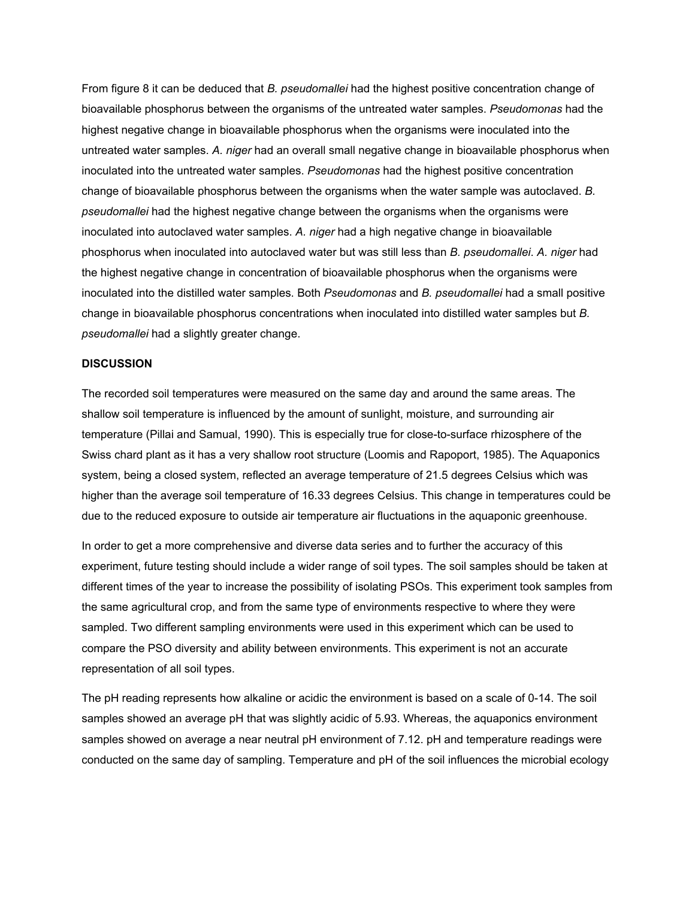From figure 8 it can be deduced that *B. pseudomallei* had the highest positive concentration change of bioavailable phosphorus between the organisms of the untreated water samples. *Pseudomonas* had the highest negative change in bioavailable phosphorus when the organisms were inoculated into the untreated water samples. *A. niger* had an overall small negative change in bioavailable phosphorus when inoculated into the untreated water samples. *Pseudomonas* had the highest positive concentration change of bioavailable phosphorus between the organisms when the water sample was autoclaved. *B. pseudomallei* had the highest negative change between the organisms when the organisms were inoculated into autoclaved water samples. *A. niger* had a high negative change in bioavailable phosphorus when inoculated into autoclaved water but was still less than *B. pseudomallei*. *A. niger* had the highest negative change in concentration of bioavailable phosphorus when the organisms were inoculated into the distilled water samples. Both *Pseudomonas* and *B. pseudomallei* had a small positive change in bioavailable phosphorus concentrations when inoculated into distilled water samples but *B. pseudomallei* had a slightly greater change.

#### **DISCUSSION**

The recorded soil temperatures were measured on the same day and around the same areas. The shallow soil temperature is influenced by the amount of sunlight, moisture, and surrounding air temperature (Pillai and Samual, 1990). This is especially true for close-to-surface rhizosphere of the Swiss chard plant as it has a very shallow root structure (Loomis and Rapoport, 1985). The Aquaponics system, being a closed system, reflected an average temperature of 21.5 degrees Celsius which was higher than the average soil temperature of 16.33 degrees Celsius. This change in temperatures could be due to the reduced exposure to outside air temperature air fluctuations in the aquaponic greenhouse.

In order to get a more comprehensive and diverse data series and to further the accuracy of this experiment, future testing should include a wider range of soil types. The soil samples should be taken at different times of the year to increase the possibility of isolating PSOs. This experiment took samples from the same agricultural crop, and from the same type of environments respective to where they were sampled. Two different sampling environments were used in this experiment which can be used to compare the PSO diversity and ability between environments. This experiment is not an accurate representation of all soil types.

The pH reading represents how alkaline or acidic the environment is based on a scale of 0-14. The soil samples showed an average pH that was slightly acidic of 5.93. Whereas, the aguaponics environment samples showed on average a near neutral pH environment of 7.12. pH and temperature readings were conducted on the same day of sampling. Temperature and pH of the soil influences the microbial ecology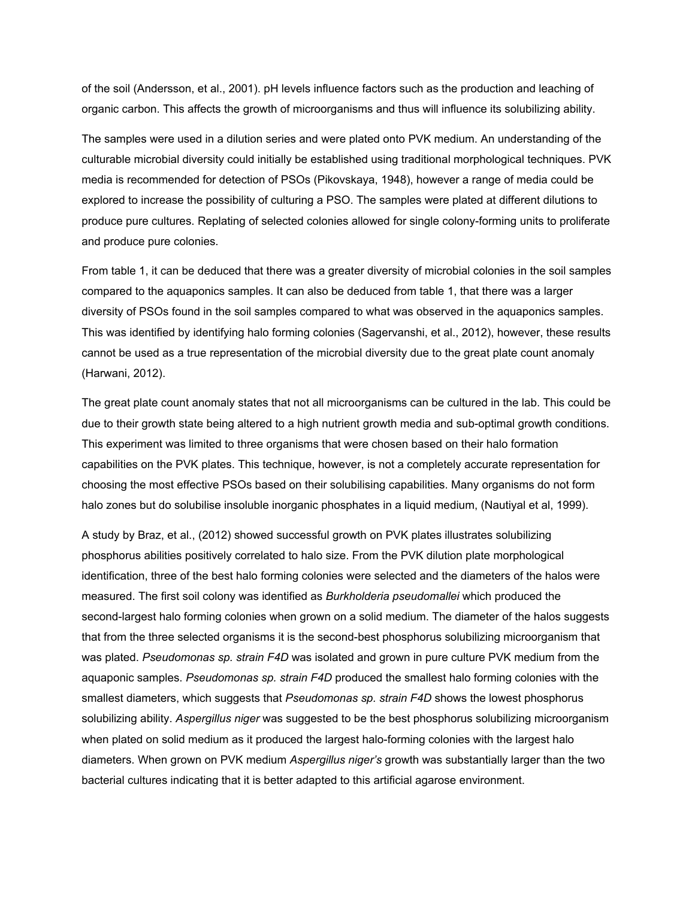of the soil (Andersson, et al., 2001). pH levels influence factors such as the production and leaching of organic carbon. This affects the growth of microorganisms and thus will influence its solubilizing ability.

The samples were used in a dilution series and were plated onto PVK medium. An understanding of the culturable microbial diversity could initially be established using traditional morphological techniques. PVK media is recommended for detection of PSOs (Pikovskaya, 1948), however a range of media could be explored to increase the possibility of culturing a PSO. The samples were plated at different dilutions to produce pure cultures. Replating of selected colonies allowed for single colony-forming units to proliferate and produce pure colonies.

From table 1, it can be deduced that there was a greater diversity of microbial colonies in the soil samples compared to the aquaponics samples. It can also be deduced from table 1, that there was a larger diversity of PSOs found in the soil samples compared to what was observed in the aquaponics samples. This was identified by identifying halo forming colonies (Sagervanshi, et al., 2012), however, these results cannot be used as a true representation of the microbial diversity due to the great plate count anomaly (Harwani, 2012).

The great plate count anomaly states that not all microorganisms can be cultured in the lab. This could be due to their growth state being altered to a high nutrient growth media and sub-optimal growth conditions. This experiment was limited to three organisms that were chosen based on their halo formation capabilities on the PVK plates. This technique, however, is not a completely accurate representation for choosing the most effective PSOs based on their solubilising capabilities. Many organisms do not form halo zones but do solubilise insoluble inorganic phosphates in a liquid medium, (Nautiyal et al, 1999).

A study by Braz, et al., (2012) showed successful growth on PVK plates illustrates solubilizing phosphorus abilities positively correlated to halo size. From the PVK dilution plate morphological identification, three of the best halo forming colonies were selected and the diameters of the halos were measured. The first soil colony was identified as *Burkholderia pseudomallei* which produced the second-largest halo forming colonies when grown on a solid medium. The diameter of the halos suggests that from the three selected organisms it is the second-best phosphorus solubilizing microorganism that was plated. *Pseudomonas sp. strain F4D* was isolated and grown in pure culture PVK medium from the aquaponic samples. *Pseudomonas sp. strain F4D* produced the smallest halo forming colonies with the smallest diameters, which suggests that *Pseudomonas sp. strain F4D* shows the lowest phosphorus solubilizing ability. *Aspergillus niger* was suggested to be the best phosphorus solubilizing microorganism when plated on solid medium as it produced the largest halo-forming colonies with the largest halo diameters. When grown on PVK medium *Aspergillus niger's* growth was substantially larger than the two bacterial cultures indicating that it is better adapted to this artificial agarose environment.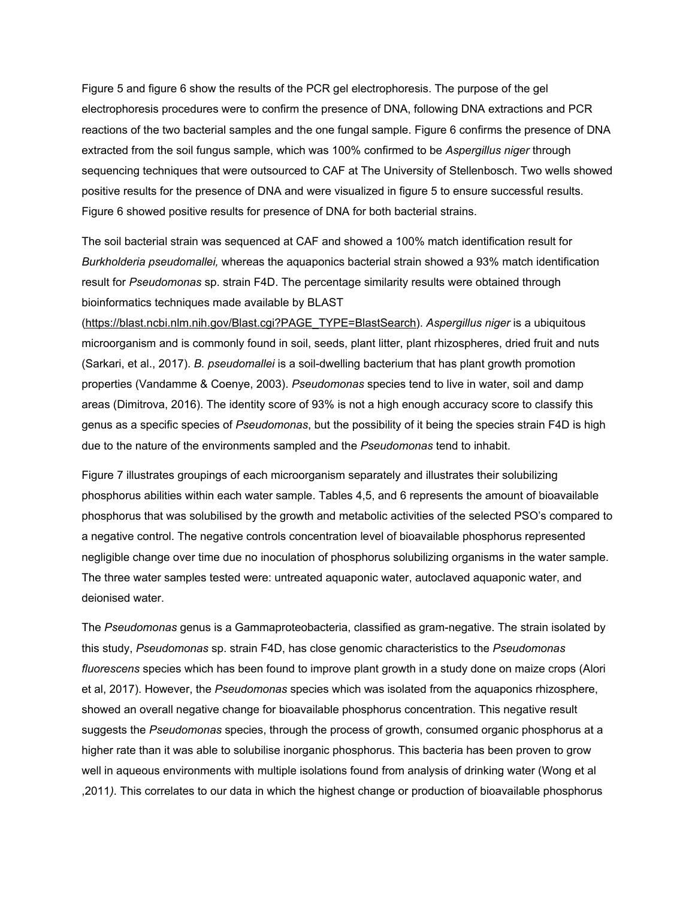Figure 5 and figure 6 show the results of the PCR gel electrophoresis. The purpose of the gel electrophoresis procedures were to confirm the presence of DNA, following DNA extractions and PCR reactions of the two bacterial samples and the one fungal sample. Figure 6 confirms the presence of DNA extracted from the soil fungus sample, which was 100% confirmed to be *Aspergillus niger* through sequencing techniques that were outsourced to CAF at The University of Stellenbosch. Two wells showed positive results for the presence of DNA and were visualized in figure 5 to ensure successful results. Figure 6 showed positive results for presence of DNA for both bacterial strains.

The soil bacterial strain was sequenced at CAF and showed a 100% match identification result for *Burkholderia pseudomallei,* whereas the aquaponics bacterial strain showed a 93% match identification result for *Pseudomonas* sp. strain F4D. The percentage similarity results were obtained through bioinformatics techniques made available by BLAST

[\(https://blast.ncbi.nlm.nih.gov/Blast.cgi?PAGE\\_TYPE=BlastSearch\)](https://blast.ncbi.nlm.nih.gov/Blast.cgi?PAGE_TYPE=BlastSearch). *Aspergillus niger* is a ubiquitous microorganism and is commonly found in soil, seeds, plant litter, plant rhizospheres, dried fruit and nuts (Sarkari, et al., 2017). *B. pseudomallei* is a soil-dwelling bacterium that has plant growth promotion properties (Vandamme & Coenye, 2003). *Pseudomonas* species tend to live in water, soil and damp areas (Dimitrova, 2016). The identity score of 93% is not a high enough accuracy score to classify this genus as a specific species of *Pseudomonas*, but the possibility of it being the species strain F4D is high due to the nature of the environments sampled and the *Pseudomonas* tend to inhabit.

Figure 7 illustrates groupings of each microorganism separately and illustrates their solubilizing phosphorus abilities within each water sample. Tables 4,5, and 6 represents the amount of bioavailable phosphorus that was solubilised by the growth and metabolic activities of the selected PSO's compared to a negative control. The negative controls concentration level of bioavailable phosphorus represented negligible change over time due no inoculation of phosphorus solubilizing organisms in the water sample. The three water samples tested were: untreated aquaponic water, autoclaved aquaponic water, and deionised water.

The *Pseudomonas* genus is a Gammaproteobacteria, classified as gram-negative. The strain isolated by this study, *Pseudomonas* sp. strain F4D, has close genomic characteristics to the *Pseudomonas fluorescens* species which has been found to improve plant growth in a study done on maize crops (Alori et al, 2017). However, the *Pseudomonas* species which was isolated from the aquaponics rhizosphere, showed an overall negative change for bioavailable phosphorus concentration. This negative result suggests the *Pseudomonas* species, through the process of growth, consumed organic phosphorus at a higher rate than it was able to solubilise inorganic phosphorus. This bacteria has been proven to grow well in aqueous environments with multiple isolations found from analysis of drinking water (Wong et al ,2011*).* This correlates to our data in which the highest change or production of bioavailable phosphorus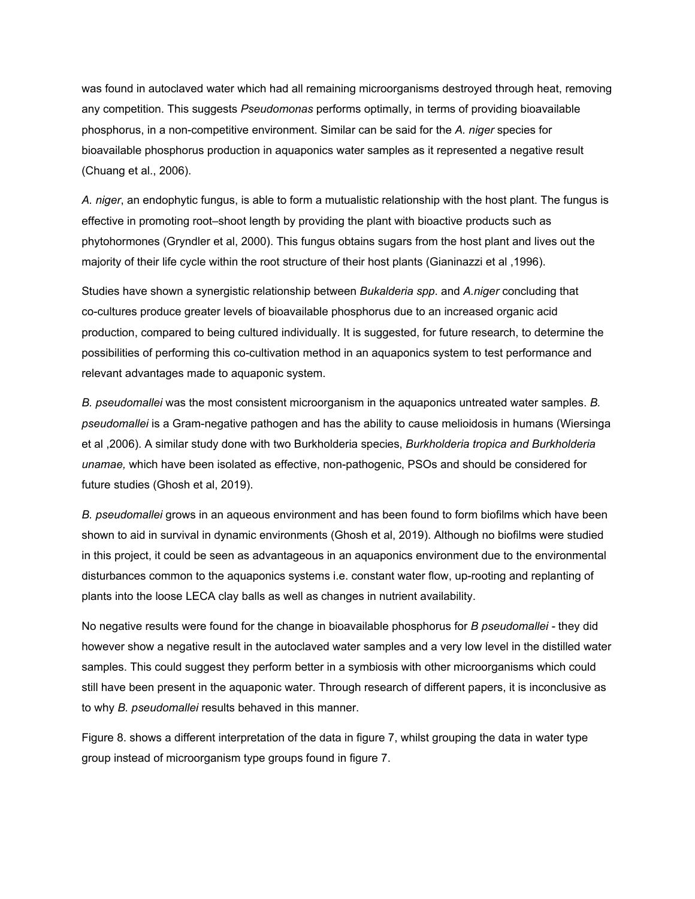was found in autoclaved water which had all remaining microorganisms destroyed through heat, removing any competition. This suggests *Pseudomonas* performs optimally, in terms of providing bioavailable phosphorus, in a non-competitive environment. Similar can be said for the *A. niger* species for bioavailable phosphorus production in aquaponics water samples as it represented a negative result (Chuang et al., 2006).

*A. niger*, an endophytic fungus, is able to form a mutualistic relationship with the host plant. The fungus is effective in promoting root–shoot length by providing the plant with bioactive products such as phytohormones (Gryndler et al, 2000). This fungus obtains sugars from the host plant and lives out the majority of their life cycle within the root structure of their host plants (Gianinazzi et al ,1996).

Studies have shown a synergistic relationship between *Bukalderia spp*. and *A.niger* concluding that co-cultures produce greater levels of bioavailable phosphorus due to an increased organic acid production, compared to being cultured individually. It is suggested, for future research, to determine the possibilities of performing this co-cultivation method in an aquaponics system to test performance and relevant advantages made to aquaponic system.

*B. pseudomallei* was the most consistent microorganism in the aquaponics untreated water samples. *B. pseudomallei* is a Gram-negative pathogen and has the ability to cause melioidosis in humans (Wiersinga et al ,2006). A similar study done with two Burkholderia species, *Burkholderia tropica and Burkholderia unamae,* which have been isolated as effective, non-pathogenic, PSOs and should be considered for future studies (Ghosh et al, 2019).

*B. pseudomallei* grows in an aqueous environment and has been found to form biofilms which have been shown to aid in survival in dynamic environments (Ghosh et al, 2019). Although no biofilms were studied in this project, it could be seen as advantageous in an aquaponics environment due to the environmental disturbances common to the aquaponics systems i.e. constant water flow, up-rooting and replanting of plants into the loose LECA clay balls as well as changes in nutrient availability.

No negative results were found for the change in bioavailable phosphorus for *B pseudomallei -* they did however show a negative result in the autoclaved water samples and a very low level in the distilled water samples. This could suggest they perform better in a symbiosis with other microorganisms which could still have been present in the aquaponic water. Through research of different papers, it is inconclusive as to why *B. pseudomallei* results behaved in this manner.

Figure 8. shows a different interpretation of the data in figure 7, whilst grouping the data in water type group instead of microorganism type groups found in figure 7.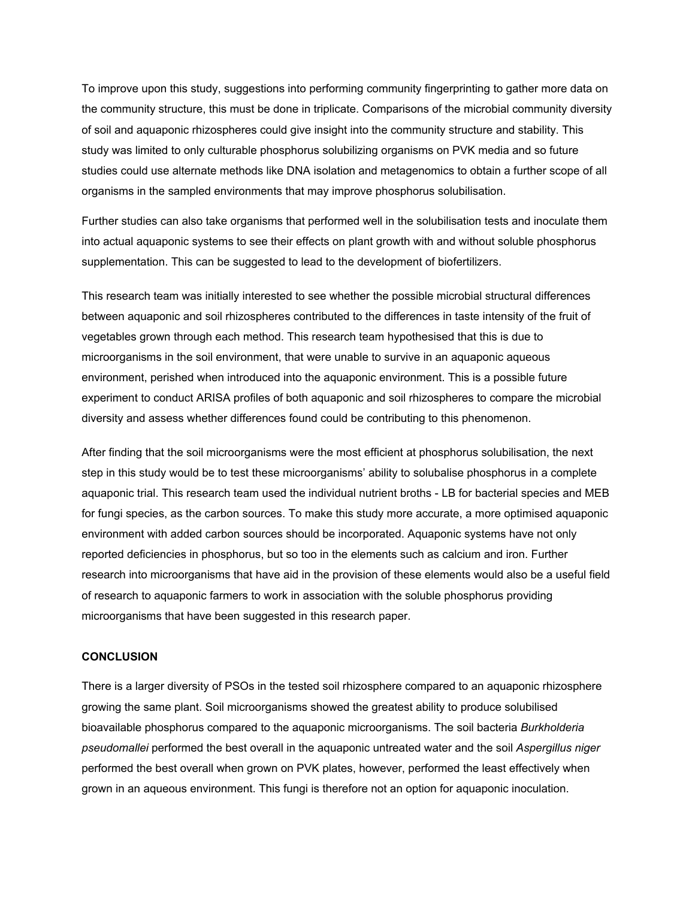To improve upon this study, suggestions into performing community fingerprinting to gather more data on the community structure, this must be done in triplicate. Comparisons of the microbial community diversity of soil and aquaponic rhizospheres could give insight into the community structure and stability. This study was limited to only culturable phosphorus solubilizing organisms on PVK media and so future studies could use alternate methods like DNA isolation and metagenomics to obtain a further scope of all organisms in the sampled environments that may improve phosphorus solubilisation.

Further studies can also take organisms that performed well in the solubilisation tests and inoculate them into actual aquaponic systems to see their effects on plant growth with and without soluble phosphorus supplementation. This can be suggested to lead to the development of biofertilizers.

This research team was initially interested to see whether the possible microbial structural differences between aquaponic and soil rhizospheres contributed to the differences in taste intensity of the fruit of vegetables grown through each method. This research team hypothesised that this is due to microorganisms in the soil environment, that were unable to survive in an aquaponic aqueous environment, perished when introduced into the aquaponic environment. This is a possible future experiment to conduct ARISA profiles of both aquaponic and soil rhizospheres to compare the microbial diversity and assess whether differences found could be contributing to this phenomenon.

After finding that the soil microorganisms were the most efficient at phosphorus solubilisation, the next step in this study would be to test these microorganisms' ability to solubalise phosphorus in a complete aquaponic trial. This research team used the individual nutrient broths - LB for bacterial species and MEB for fungi species, as the carbon sources. To make this study more accurate, a more optimised aquaponic environment with added carbon sources should be incorporated. Aquaponic systems have not only reported deficiencies in phosphorus, but so too in the elements such as calcium and iron. Further research into microorganisms that have aid in the provision of these elements would also be a useful field of research to aquaponic farmers to work in association with the soluble phosphorus providing microorganisms that have been suggested in this research paper.

#### **CONCLUSION**

There is a larger diversity of PSOs in the tested soil rhizosphere compared to an aquaponic rhizosphere growing the same plant. Soil microorganisms showed the greatest ability to produce solubilised bioavailable phosphorus compared to the aquaponic microorganisms. The soil bacteria *Burkholderia pseudomallei* performed the best overall in the aquaponic untreated water and the soil *Aspergillus niger* performed the best overall when grown on PVK plates, however, performed the least effectively when grown in an aqueous environment. This fungi is therefore not an option for aquaponic inoculation.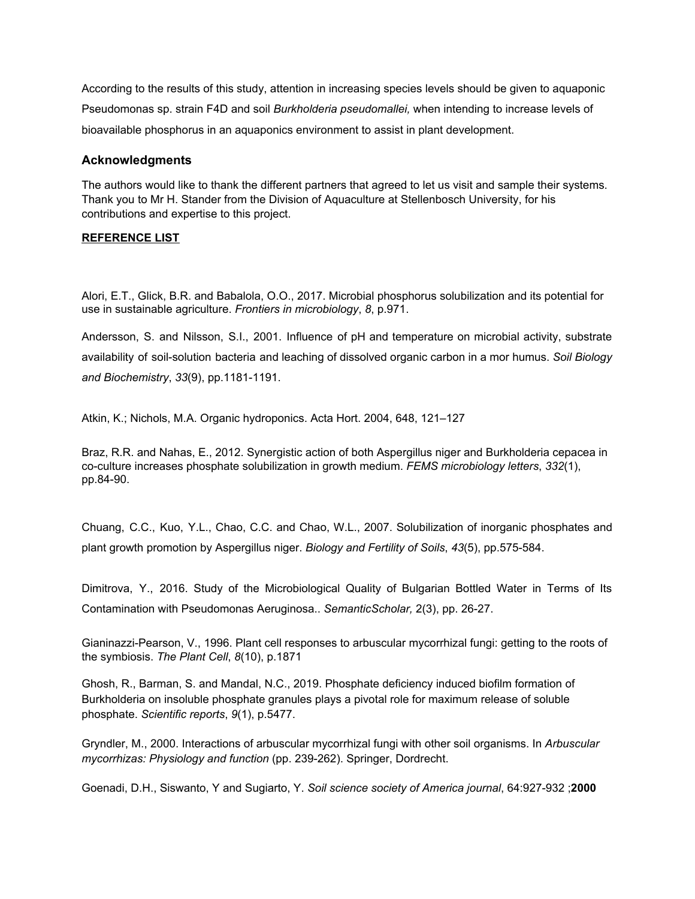According to the results of this study, attention in increasing species levels should be given to aquaponic Pseudomonas sp. strain F4D and soil *Burkholderia pseudomallei,* when intending to increase levels of bioavailable phosphorus in an aquaponics environment to assist in plant development.

## **Acknowledgments**

The authors would like to thank the different partners that agreed to let us visit and sample their systems. Thank you to Mr H. Stander from the Division of Aquaculture at Stellenbosch University, for his contributions and expertise to this project.

## **REFERENCE LIST**

Alori, E.T., Glick, B.R. and Babalola, O.O., 2017. Microbial phosphorus solubilization and its potential for use in sustainable agriculture. *Frontiers in microbiology*, *8*, p.971.

Andersson, S. and Nilsson, S.I., 2001. Influence of pH and temperature on microbial activity, substrate availability of soil-solution bacteria and leaching of dissolved organic carbon in a mor humus. *Soil Biology and Biochemistry*, *33*(9), pp.1181-1191.

Atkin, K.; Nichols, M.A. Organic hydroponics. Acta Hort. 2004, 648, 121–127

Braz, R.R. and Nahas, E., 2012. Synergistic action of both Aspergillus niger and Burkholderia cepacea in co-culture increases phosphate solubilization in growth medium. *FEMS microbiology letters*, *332*(1), pp.84-90.

Chuang, C.C., Kuo, Y.L., Chao, C.C. and Chao, W.L., 2007. Solubilization of inorganic phosphates and plant growth promotion by Aspergillus niger. *Biology and Fertility of Soils*, *43*(5), pp.575-584.

Dimitrova, Y., 2016. Study of the Microbiological Quality of Bulgarian Bottled Water in Terms of Its Contamination with Pseudomonas Aeruginosa.. *SemanticScholar,* 2(3), pp. 26-27.

Gianinazzi-Pearson, V., 1996. Plant cell responses to arbuscular mycorrhizal fungi: getting to the roots of the symbiosis. *The Plant Cell*, *8*(10), p.1871

Ghosh, R., Barman, S. and Mandal, N.C., 2019. Phosphate deficiency induced biofilm formation of Burkholderia on insoluble phosphate granules plays a pivotal role for maximum release of soluble phosphate. *Scientific reports*, *9*(1), p.5477.

Gryndler, M., 2000. Interactions of arbuscular mycorrhizal fungi with other soil organisms. In *Arbuscular mycorrhizas: Physiology and function* (pp. 239-262). Springer, Dordrecht.

Goenadi, D.H., Siswanto, Y and Sugiarto, Y. *Soil science society of America journal*, 64:927-932 ;**2000**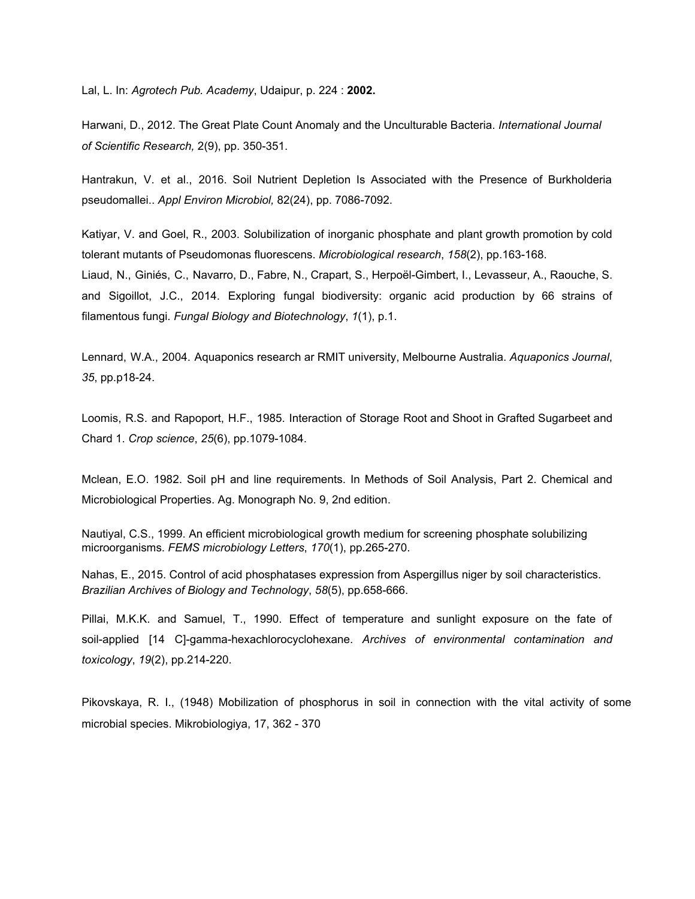Lal, L. In: *Agrotech Pub. Academy*, Udaipur, p. 224 : **2002.**

Harwani, D., 2012. The Great Plate Count Anomaly and the Unculturable Bacteria. *International Journal of Scientific Research,* 2(9), pp. 350-351.

Hantrakun, V. et al., 2016. Soil Nutrient Depletion Is Associated with the Presence of Burkholderia pseudomallei.. *Appl Environ Microbiol,* 82(24), pp. 7086-7092.

Katiyar, V. and Goel, R., 2003. Solubilization of inorganic phosphate and plant growth promotion by cold tolerant mutants of Pseudomonas fluorescens. *Microbiological research*, *158*(2), pp.163-168.

Liaud, N., Giniés, C., Navarro, D., Fabre, N., Crapart, S., Herpoël-Gimbert, I., Levasseur, A., Raouche, S. and Sigoillot, J.C., 2014. Exploring fungal biodiversity: organic acid production by 66 strains of filamentous fungi. *Fungal Biology and Biotechnology*, *1*(1), p.1.

Lennard, W.A., 2004. Aquaponics research ar RMIT university, Melbourne Australia. *Aquaponics Journal*, *35*, pp.p18-24.

Loomis, R.S. and Rapoport, H.F., 1985. Interaction of Storage Root and Shoot in Grafted Sugarbeet and Chard 1. *Crop science*, *25*(6), pp.1079-1084.

Mclean, E.O. 1982. Soil pH and line requirements. In Methods of Soil Analysis, Part 2. Chemical and Microbiological Properties. Ag. Monograph No. 9, 2nd edition.

Nautiyal, C.S., 1999. An efficient microbiological growth medium for screening phosphate solubilizing microorganisms. *FEMS microbiology Letters*, *170*(1), pp.265-270.

Nahas, E., 2015. Control of acid phosphatases expression from Aspergillus niger by soil characteristics. *Brazilian Archives of Biology and Technology*, *58*(5), pp.658-666.

Pillai, M.K.K. and Samuel, T., 1990. Effect of temperature and sunlight exposure on the fate of soil-applied [14 C]-gamma-hexachlorocyclohexane. *Archives of environmental contamination and toxicology*, *19*(2), pp.214-220.

Pikovskaya, R. I., (1948) Mobilization of phosphorus in soil in connection with the vital activity of some microbial species. Mikrobiologiya, 17, 362 - 370